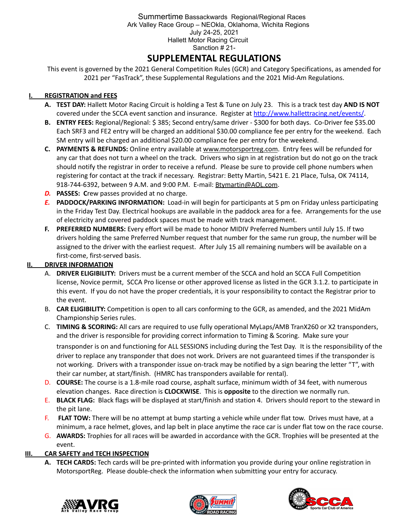### Summertime Bassackwards Regional/Regional Races Ark Valley Race Group – NEOkla, Oklahoma, Wichita Regions July 24-25, 2021 Hallett Motor Racing Circuit Sanction # 21-

# **SUPPLEMENTAL REGULATIONS**

This event is governed by the 2021 General Competition Rules (GCR) and Category Specifications, as amended for 2021 per "FasTrack", these Supplemental Regulations and the 2021 Mid-Am Regulations.

# **I. REGISTRATION and FEES**

- **A. TEST DAY:** Hallett Motor Racing Circuit is holding a Test & Tune on July 23. This is a track test day **AND IS NOT** covered under the SCCA event sanction and insurance. Register at <http://www.hallettracing.net/events/>.
- **B. ENTRY FEES:** Regional/Regional: \$ 385; Second entry/same driver \$300 for both days. Co-Driver fee \$35.00 Each SRF3 and FE2 entry will be charged an additional \$30.00 compliance fee per entry for the weekend. Each SM entry will be charged an additional \$20.00 compliance fee per entry for the weekend.
- **C. PAYMENTS & REFUNDS:** Online entry available at [www.motorsportreg.com](http://www.motorsportreg.com). Entry fees will be refunded for any car that does not turn a wheel on the track. Drivers who sign in at registration but do not go on the track should notify the registrar in order to receive a refund. Please be sure to provide cell phone numbers when registering for contact at the track if necessary. Registrar: Betty Martin, 5421 E. 21 Place, Tulsa, OK 74114, 918-744-6392, between 9 A.M. and 9:00 P.M. E-mail: [Btymartin@AOL.com.](mailto:Btymartin@AOL.com)
- *D.* **PASSES: C**rew passes provided at no charge.
- *E.* **PADDOCK/PARKING INFORMATION:** Load-in will begin for participants at 5 pm on Friday unless participating in the Friday Test Day. Electrical hookups are available in the paddock area for a fee. Arrangements for the use of electricity and covered paddock spaces must be made with track management.
- **F. PREFERRED NUMBERS:** Every effort will be made to honor MIDIV Preferred Numbers until July 15. If two drivers holding the same Preferred Number request that number for the same run group, the number will be assigned to the driver with the earliest request. After July 15 all remaining numbers will be available on a first-come, first-served basis.

# **II. DRIVER INFORMATION**

- A. **DRIVER ELIGIBILITY:** Drivers must be a current member of the SCCA and hold an SCCA Full Competition license, Novice permit, SCCA Pro license or other approved license as listed in the GCR 3.1.2. to participate in this event. If you do not have the proper credentials, it is your responsibility to contact the Registrar prior to the event.
- B. **CAR ELIGIBILITY:** Competition is open to all cars conforming to the GCR, as amended, and the 2021 MidAm Championship Series rules.
- C. **TIMING & SCORING:** All cars are required to use fully operational MyLaps/AMB TranX260 or X2 transponders, and the driver is responsible for providing correct information to Timing & Scoring. Make sure your

transponder is on and functioning for ALL SESSIONS including during the Test Day. It is the responsibility of the driver to replace any transponder that does not work. Drivers are not guaranteed times if the transponder is not working. Drivers with a transponder issue on-track may be notified by a sign bearing the letter "T", with their car number, at start/finish. (HMRC has transponders available for rental).

- D. **COURSE:** The course is a 1.8-mile road course, asphalt surface, minimum width of 34 feet, with numerous elevation changes. Race direction is **CLOCKWISE**. This is **opposite** to the direction we normally run.
- E. **BLACK FLAG:** Black flags will be displayed at start/finish and station 4. Drivers should report to the steward in the pit lane.
- F. **FLAT TOW:** There will be no attempt at bump starting a vehicle while under flat tow. Drives must have, at a minimum, a race helmet, gloves, and lap belt in place anytime the race car is under flat tow on the race course.
- G. **AWARDS:** Trophies for all races will be awarded in accordance with the GCR. Trophies will be presented at the event.

### **III. CAR SAFETY and TECH INSPECTION**

**A. TECH CARDS:** Tech cards will be pre-printed with information you provide during your online registration in MotorsportReg. Please double-check the information when submitting your entry for accuracy.





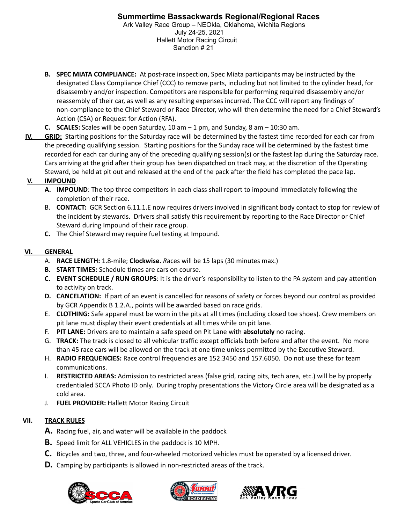- **B. SPEC MIATA COMPLIANCE:** At post-race inspection, Spec Miata participants may be instructed by the designated Class Compliance Chief (CCC) to remove parts, including but not limited to the cylinder head, for disassembly and/or inspection. Competitors are responsible for performing required disassembly and/or reassembly of their car, as well as any resulting expenses incurred. The CCC will report any findings of non-compliance to the Chief Steward or Race Director, who will then determine the need for a Chief Steward's Action (CSA) or Request for Action (RFA).
- **C. SCALES:** Scales will be open Saturday, 10 am 1 pm, and Sunday, 8 am 10:30 am.
- **IV. GRID:** Starting positions for the Saturday race will be determined by the fastest time recorded for each car from the preceding qualifying session. Starting positions for the Sunday race will be determined by the fastest time recorded for each car during any of the preceding qualifying session(s) or the fastest lap during the Saturday race. Cars arriving at the grid after their group has been dispatched on track may, at the discretion of the Operating Steward, be held at pit out and released at the end of the pack after the field has completed the pace lap.

# **V. IMPOUND**

- **A. IMPOUND**: The top three competitors in each class shall report to impound immediately following the completion of their race.
- B. **CONTACT:** GCR Section 6.11.1.E now requires drivers involved in significant body contact to stop for review of the incident by stewards. Drivers shall satisfy this requirement by reporting to the Race Director or Chief Steward during Impound of their race group.
- **C.** The Chief Steward may require fuel testing at Impound.

# **VI. GENERAL**

- A. **RACE LENGTH:** 1.8-mile; **Clockwise.** *R*aces will be 15 laps (30 minutes max.)
- **B. START TIMES:** Schedule times are cars on course.
- **C. EVENT SCHEDULE / RUN GROUPS**: It is the driver's responsibility to listen to the PA system and pay attention to activity on track.
- **D. CANCELATION:** If part of an event is cancelled for reasons of safety or forces beyond our control as provided by GCR Appendix B 1.2.A., points will be awarded based on race grids.
- E. **CLOTHING:** Safe apparel must be worn in the pits at all times (including closed toe shoes). Crew members on pit lane must display their event credentials at all times while on pit lane.
- F. **PIT LANE:** Drivers are to maintain a safe speed on Pit Lane with **absolutely** no racing.
- G. **TRACK:** The track is closed to all vehicular traffic except officials both before and after the event. No more than 45 race cars will be allowed on the track at one time unless permitted by the Executive Steward.
- H. **RADIO FREQUENCIES:** Race control frequencies are 152.3450 and 157.6050. Do not use these for team communications.
- I. **RESTRICTED AREAS:** Admission to restricted areas (false grid, racing pits, tech area, etc.) will be by properly credentialed SCCA Photo ID only. During trophy presentations the Victory Circle area will be designated as a cold area.
- J. **FUEL PROVIDER:** Hallett Motor Racing Circuit

# **VII. TRACK RULES**

- **A.** Racing fuel, air, and water will be available in the paddock
- **B.** Speed limit for ALL VEHICLES in the paddock is 10 MPH.
- **C.** Bicycles and two, three, and four-wheeled motorized vehicles must be operated by a licensed driver.
- **D.** Camping by participants is allowed in non-restricted areas of the track.





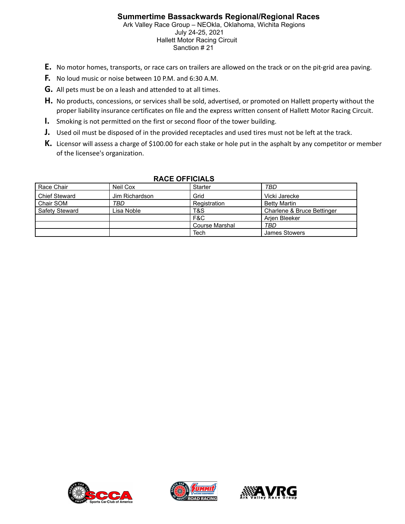# **Summertime Bassackwards Regional/Regional Races**

Ark Valley Race Group – NEOkla, Oklahoma, Wichita Regions July 24-25, 2021 Hallett Motor Racing Circuit Sanction # 21

- **E.** No motor homes, transports, or race cars on trailers are allowed on the track or on the pit-grid area paving.
- **F.** No loud music or noise between 10 P.M. and 6:30 A.M.
- **G.** All pets must be on a leash and attended to at all times.
- **H.** No products, concessions, or services shall be sold, advertised, or promoted on Hallett property without the proper liability insurance certificates on file and the express written consent of Hallett Motor Racing Circuit.
- **I.** Smoking is not permitted on the first or second floor of the tower building.
- **J.** Used oil must be disposed of in the provided receptacles and used tires must not be left at the track.
- **K.** Licensor will assess a charge of \$100.00 for each stake or hole put in the asphalt by any competitor or member of the licensee's organization.

| Race Chair           | Neil Cox       | TBD<br>Starter |                            |  |
|----------------------|----------------|----------------|----------------------------|--|
| <b>Chief Steward</b> | Jim Richardson | Grid           | Vicki Jarecke              |  |
| Chair SOM            | TBD            | Registration   | <b>Betty Martin</b>        |  |
| Safety Steward       | Lisa Noble     | T&S            | Charlene & Bruce Bettinger |  |
|                      |                | F&C            | Arjen Bleeker              |  |
|                      |                | Course Marshal | TBD                        |  |
|                      |                | Tech           | James Stowers              |  |

### **RACE OFFICIALS**





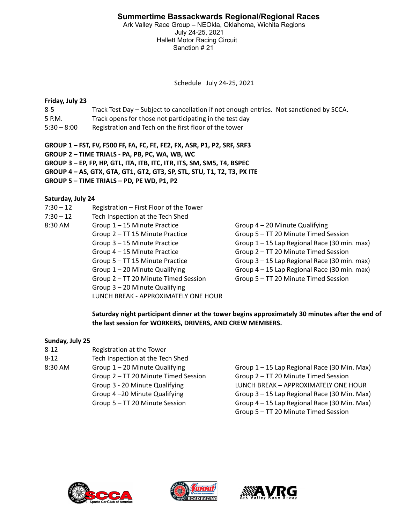Ark Valley Race Group – NEOkla, Oklahoma, Wichita Regions July 24-25, 2021 Hallett Motor Racing Circuit Sanction # 21

Schedule July 24-25, 2021

### **Friday, July 23**

- 8-5 Track Test Day Subject to cancellation if not enough entries. Not sanctioned by SCCA.
- 5 P.M. Track opens for those not participating in the test day
- 5:30 8:00 Registration and Tech on the first floor of the tower

**GROUP 1 – FST, FV, F500 FF, FA, FC, FE, FE2, FX, ASR, P1, P2, SRF, SRF3**

**GROUP 2 – TIME TRIALS - PA, PB, PC, WA, WB, WC**

**GROUP 3 – EP, FP, HP, GTL, ITA, ITB, ITC, ITR, ITS, SM, SM5, T4, BSPEC**

**GROUP 4 – AS, GTX, GTA, GT1, GT2, GT3, SP, STL, STU, T1, T2, T3, PX ITE**

**GROUP 5 – TIME TRIALS – PD, PE WD, P1, P2**

### **Saturday, July 24**

- 7:30 12 Registration First Floor of the Tower
- 7:30 12 Tech Inspection at the Tech Shed
- 8:30 AM Group 1 15 Minute Practice Group 4 20 Minute Qualifying
	-
	-
	-
	-
	-
	-

Group 3 – 20 Minute Qualifying

LUNCH BREAK - APPROXIMATELY ONE HOUR

Group 2 – TT 15 Minute Practice Group 5 – TT 20 Minute Timed Session Group 3 – 15 Minute Practice Group 1 – 15 Lap Regional Race (30 min. max) Group 4 – 15 Minute Practice Group 2 – TT 20 Minute Timed Session Group 5 – TT 15 Minute Practice Group 3 – 15 Lap Regional Race (30 min. max) Group 1 – 20 Minute Qualifying Group 4 – 15 Lap Regional Race (30 min. max) Group 2 – TT 20 Minute Timed Session Group 5 – TT 20 Minute Timed Session

**Saturday night participant dinner at the tower begins approximately 30 minutes after the end of the last session for WORKERS, DRIVERS, AND CREW MEMBERS.**

### **Sunday, July 25**

| $8 - 12$ | Registration at the Tower            |
|----------|--------------------------------------|
| $8 - 12$ | Tech Inspection at the Tech Shed     |
| 8:30 AM  | Group $1 - 20$ Minute Qualifying     |
|          | Group 2 - TT 20 Minute Timed Session |
|          | Group 3 - 20 Minute Qualifying       |
|          | Group 4-20 Minute Qualifying         |
|          | Group 5 - TT 20 Minute Session       |
|          |                                      |

 $Group 1 – 15 Lap Regional Race (30 Min. Max)$ Group 2 – TT 20 Minute Timed Session Group 2 – TT 20 Minute Timed Session LUNCH BREAK – APPROXIMATELY ONE HOUR Group  $3 - 15$  Lap Regional Race (30 Min. Max) Group  $4 - 15$  Lap Regional Race (30 Min. Max) Group 5 – TT 20 Minute Timed Session





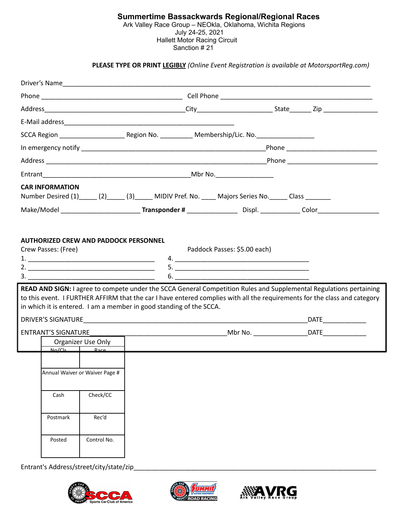#### **Summertime Bassackwards Regional/Regional Races** Ark Valley Race Group – NEOkla, Oklahoma, Wichita Regions July 24-25, 2021 Hallett Motor Racing Circuit Sanction #21

### **PLEASE TYPE OR PRINT LEGIBLY** *(Online Event Registration is available at MotorsportReg.com)*

|  | <b>CAR INFORMATION</b>     |                                                       |                                                                     |  | Number Desired (1) ______ (2) ______ (3) ______ MIDIV Pref. No. _____ Majors Series No. ______ Class ________ |  |                                                                                                                                                                                                                                                 |
|--|----------------------------|-------------------------------------------------------|---------------------------------------------------------------------|--|---------------------------------------------------------------------------------------------------------------|--|-------------------------------------------------------------------------------------------------------------------------------------------------------------------------------------------------------------------------------------------------|
|  |                            |                                                       |                                                                     |  |                                                                                                               |  |                                                                                                                                                                                                                                                 |
|  |                            | 3.                                                    | in which it is entered. I am a member in good standing of the SCCA. |  | 6.                                                                                                            |  | READ AND SIGN: I agree to compete under the SCCA General Competition Rules and Supplemental Regulations pertaining<br>to this event. I FURTHER AFFIRM that the car I have entered complies with all the requirements for the class and category |
|  |                            |                                                       |                                                                     |  |                                                                                                               |  | DATE                                                                                                                                                                                                                                            |
|  | <b>ENTRANT'S SIGNATURE</b> | Organizer Use Only<br>$N_0/C$ <sub>s</sub> $R_2c\rho$ |                                                                     |  |                                                                                                               |  |                                                                                                                                                                                                                                                 |
|  |                            | Annual Waiver or Waiver Page #                        |                                                                     |  |                                                                                                               |  |                                                                                                                                                                                                                                                 |
|  | Cash                       | Check/CC                                              |                                                                     |  |                                                                                                               |  |                                                                                                                                                                                                                                                 |
|  | Postmark                   | Rec'd                                                 |                                                                     |  |                                                                                                               |  |                                                                                                                                                                                                                                                 |
|  | Posted                     | Control No.                                           |                                                                     |  |                                                                                                               |  |                                                                                                                                                                                                                                                 |

Entrant's Address/street/city/state/zip\_